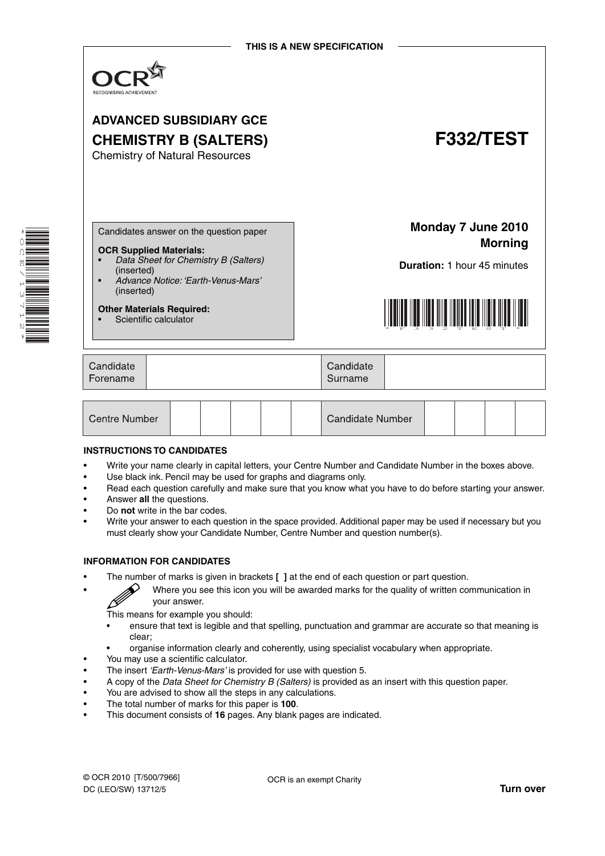

# **ADVANCED SUBSIDIARY GCE CHEMISTRY B (SALTERS) F332/TEST**

Chemistry of Natural Resources

\* O<br>Q E  $\overline{\phantom{0}}$  $\overline{a}$ u)<br>ل 1<br>12 \*

Candidates answer on the question paper

#### **OCR Supplied Materials:**

- *Data Sheet for Chemistry B (Salters)* (inserted)
- *Advance Notice: 'Earth-Venus-Mars'* (inserted)

**Other Materials Required:** • Scientific calculator

**Monday 7 June 2010 Morning**

**Duration:** 1 hour 45 minutes



| Candidate<br>Forename | Candidate<br>Surname |  |
|-----------------------|----------------------|--|
|                       |                      |  |

| Centre Number |  | Candidate Number |  |  |  |
|---------------|--|------------------|--|--|--|
|---------------|--|------------------|--|--|--|

#### **INSTRUCTIONS TO CANDIDATES**

- Write your name clearly in capital letters, your Centre Number and Candidate Number in the boxes above.
- Use black ink. Pencil may be used for graphs and diagrams only.
- Read each question carefully and make sure that you know what you have to do before starting your answer.
- Answer **all** the questions.
- Do **not** write in the bar codes.
- Write your answer to each question in the space provided. Additional paper may be used if necessary but you must clearly show your Candidate Number, Centre Number and question number(s).

#### **INFORMATION FOR CANDIDATES**

• The number of marks is given in brackets **[ ]** at the end of each question or part question.

• Where you see this icon you will be awarded marks for the quality of written communication in your answer.

This means for example you should:

- ensure that text is legible and that spelling, punctuation and grammar are accurate so that meaning is clear;
- organise information clearly and coherently, using specialist vocabulary when appropriate.
- You may use a scientific calculator.
- The insert *'Earth-Venus-Mars'* is provided for use with question 5.
- A copy of the *Data Sheet for Chemistry B (Salters)* is provided as an insert with this question paper.
- You are advised to show all the steps in any calculations.
- The total number of marks for this paper is **100**.
- This document consists of **16** pages. Any blank pages are indicated.

OCR is an exempt Charity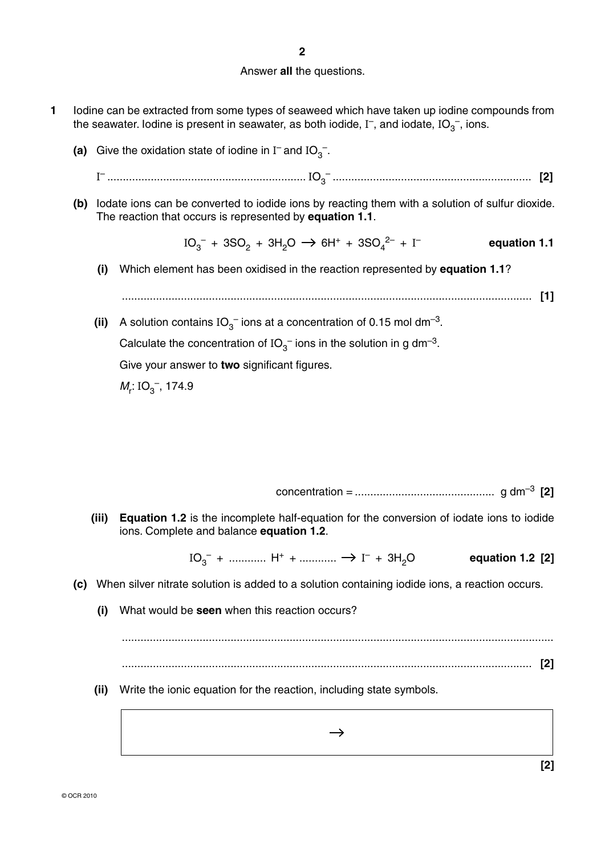**2**

### Answer **all** the questions.

- **1** Iodine can be extracted from some types of seaweed which have taken up iodine compounds from the seawater. Iodine is present in seawater, as both iodide, I<sup>-</sup>, and iodate, IO<sub>3</sub><sup>-</sup>, ions.
- (a) Give the oxidation state of iodine in  $I^-$  and  $IO_3^-$ .

<sup>I</sup>– ................................................................ IO3 – ................................................................ **[2]**

 **(b)** Iodate ions can be converted to iodide ions by reacting them with a solution of sulfur dioxide. The reaction that occurs is represented by **equation 1.1**.

> $IO_3^- + 3SO_2 + 3H_2O \rightarrow 6H^+ + 3SO_4^{2-} + I$ – **equation 1.1**

 **(i)** Which element has been oxidised in the reaction represented by **equation 1.1**?

.................................................................................................................................... **[1]**

**(ii)** A solution contains  $IO_{3}^-$  ions at a concentration of 0.15 mol dm<sup>-3</sup>. Calculate the concentration of IO<sub>3</sub><sup> $-$ </sup> ions in the solution in g dm<sup>-3</sup>. Give your answer to **two** significant figures.

 $M_r$ : IO<sub>3</sub><sup>-</sup>, 174.9

concentration = ............................................. g dm–3 **[2]**

**[2]**

 **(iii) Equation 1.2** is the incomplete half-equation for the conversion of iodate ions to iodide ions. Complete and balance **equation 1.2**.

> $IO<sub>3</sub><sup>-</sup> + ... + II<sup>+</sup> + ... + I<sup>-</sup>$ – + 3H2O **equation 1.2 [2]**

- **(c)** When silver nitrate solution is added to a solution containing iodide ions, a reaction occurs.
	- **(i)** What would be **seen** when this reaction occurs?

 ........................................................................................................................................... .................................................................................................................................... **[2]**

 **(ii)** Write the ionic equation for the reaction, including state symbols.

 $\rightarrow$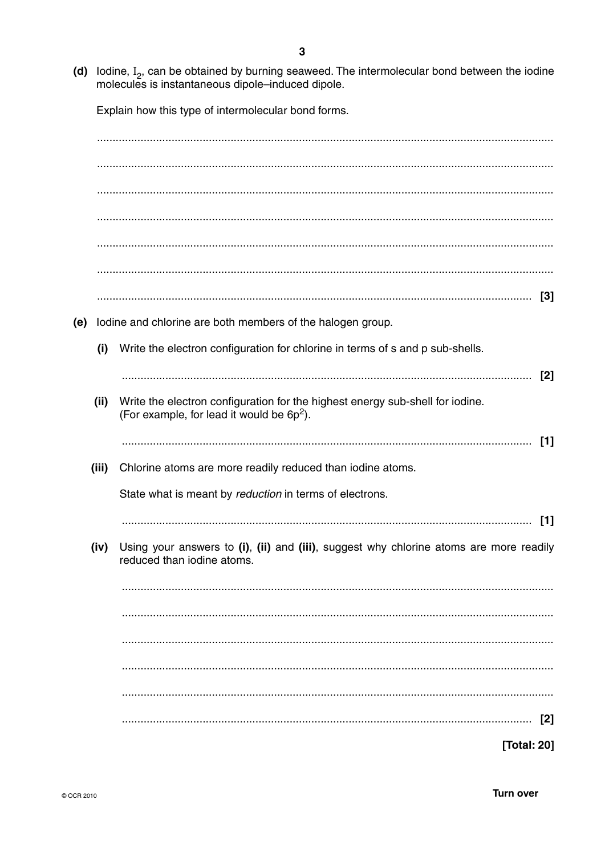(d) lodine,  $I_2$ , can be obtained by burning seaweed. The intermolecular bond between the iodine molecules is instantaneous dipole-induced dipole.

Explain how this type of intermolecular bond forms.

(e) lodine and chlorine are both members of the halogen group. (i) Write the electron configuration for chlorine in terms of s and p sub-shells. Write the electron configuration for the highest energy sub-shell for iodine.  $(ii)$ (For example, for lead it would be 6p<sup>2</sup>). (iii) Chlorine atoms are more readily reduced than iodine atoms. State what is meant by reduction in terms of electrons. (iv) Using your answers to (i), (ii) and (iii), suggest why chlorine atoms are more readily reduced than jodine atoms. 

[Total: 20]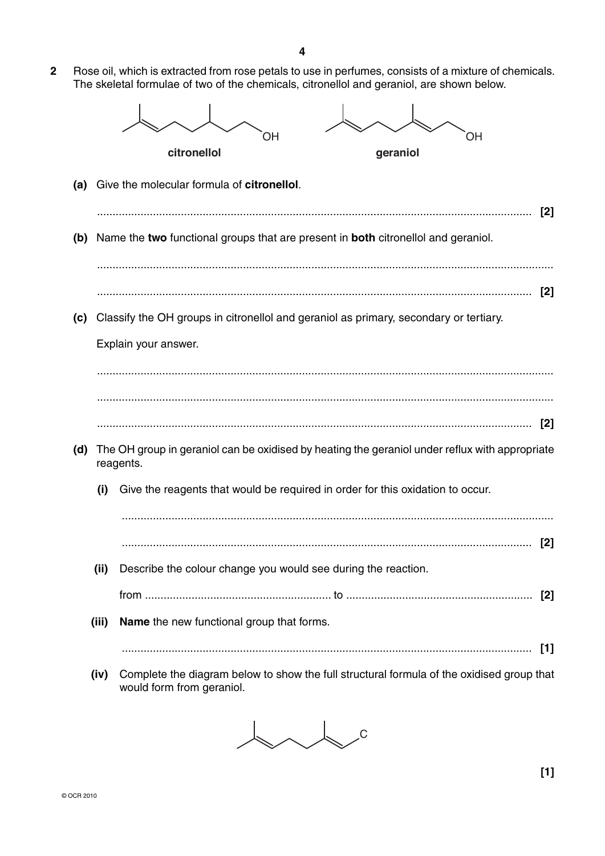**2** Rose oil, which is extracted from rose petals to use in perfumes, consists of a mixture of chemicals. The skeletal formulae of two of the chemicals, citronellol and geraniol, are shown below.



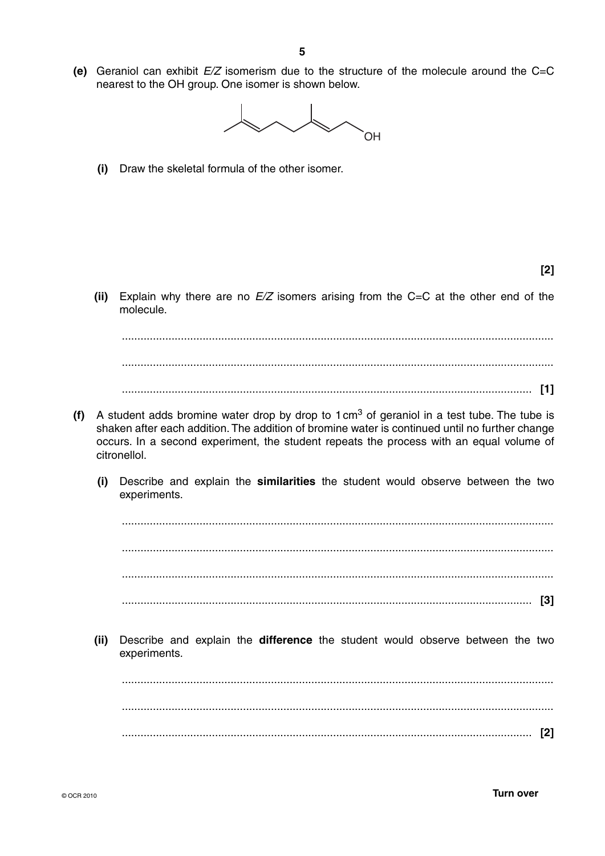**(e)** Geraniol can exhibit *E/Z* isomerism due to the structure of the molecule around the C=C nearest to the OH group. One isomer is shown below.



 **(i)** Draw the skeletal formula of the other isomer.

**[2]**

 **(ii)** Explain why there are no *E/Z* isomers arising from the C=C at the other end of the molecule.

 ........................................................................................................................................... .................................................................................................................................... **[1]**

...........................................................................................................................................

- **(f)** A student adds bromine water drop by drop to  $1 \text{ cm}^3$  of geraniol in a test tube. The tube is shaken after each addition. The addition of bromine water is continued until no further change occurs. In a second experiment, the student repeats the process with an equal volume of citronellol.
	- **(i)** Describe and explain the **similarities** the student would observe between the two experiments.

 ........................................................................................................................................... ........................................................................................................................................... ........................................................................................................................................... .................................................................................................................................... **[3]**

 **(ii)** Describe and explain the **difference** the student would observe between the two experiments.

 ........................................................................................................................................... ........................................................................................................................................... .................................................................................................................................... **[2]**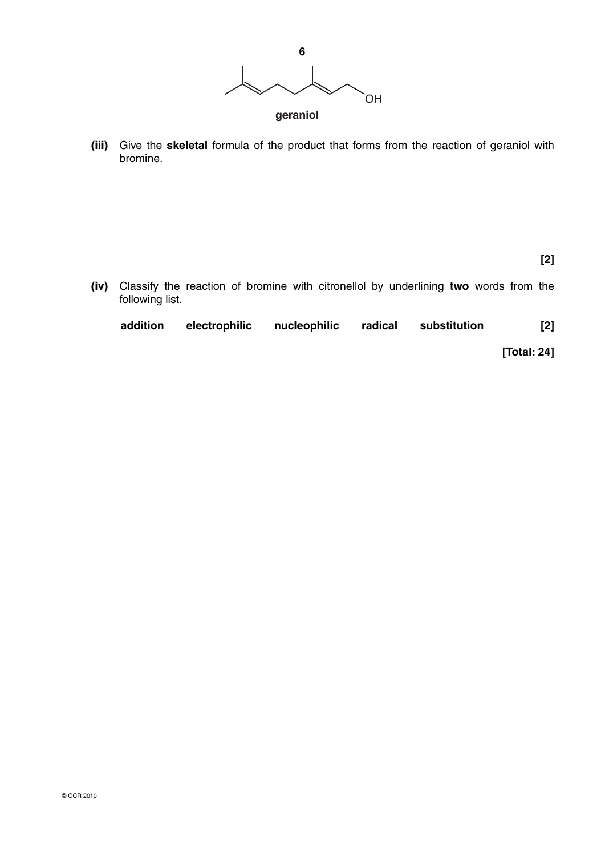

 **(iii)** Give the **skeletal** formula of the product that forms from the reaction of geraniol with bromine.

**[2]**

 **(iv)** Classify the reaction of bromine with citronellol by underlining **two** words from the following list.

| $[2]$       | substitution | nucleophilic radical | electrophilic | addition |  |
|-------------|--------------|----------------------|---------------|----------|--|
| [Total: 24] |              |                      |               |          |  |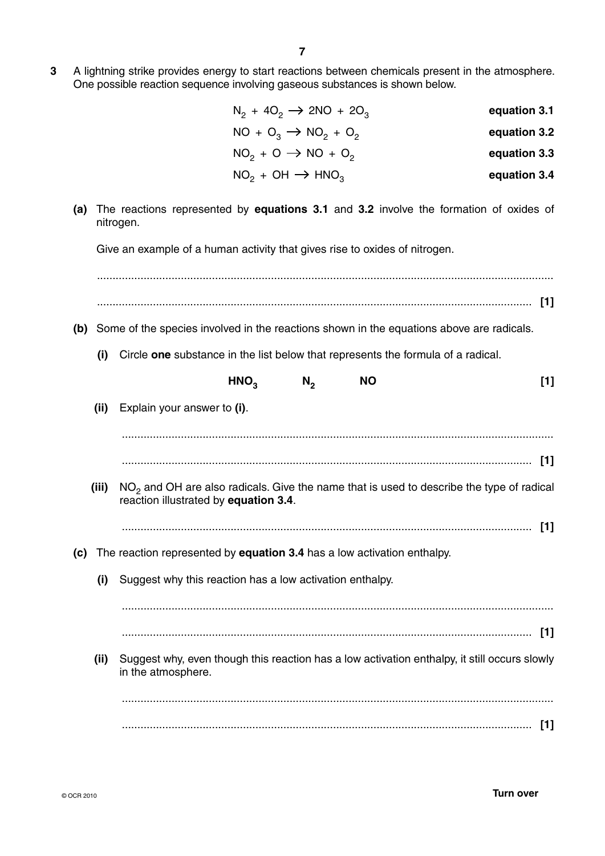|       | $N_2$ + 4O <sub>2</sub> $\rightarrow$ 2NO + 2O <sub>3</sub>                                               | equation 3.1 |
|-------|-----------------------------------------------------------------------------------------------------------|--------------|
|       | $NO + O_3 \rightarrow NO_2 + O_2$                                                                         | equation 3.2 |
|       | $NO2 + O \rightarrow NO + O2$                                                                             | equation 3.3 |
|       | $NO2 + OH \rightarrow HNO3$                                                                               | equation 3.4 |
| (a)   | The reactions represented by <b>equations 3.1</b> and 3.2 involve the formation of oxides of<br>nitrogen. |              |
|       | Give an example of a human activity that gives rise to oxides of nitrogen.                                |              |
|       |                                                                                                           |              |
|       |                                                                                                           |              |
|       | (b) Some of the species involved in the reactions shown in the equations above are radicals.              |              |
| (i)   | Circle one substance in the list below that represents the formula of a radical.                          |              |
|       | HNO <sub>3</sub><br><b>NO</b><br>$N_{2}$                                                                  | $[1]$        |
| (ii)  | Explain your answer to (i).                                                                               |              |
|       |                                                                                                           |              |
|       |                                                                                                           |              |
| (iii) | $NO2$ and OH are also radicals. Give the name that is used to describe the type of radical                |              |
|       | reaction illustrated by equation 3.4.                                                                     |              |
|       |                                                                                                           | $[1]$        |
| (c)   | The reaction represented by <b>equation 3.4</b> has a low activation enthalpy.                            |              |
| (i)   | Suggest why this reaction has a low activation enthalpy.                                                  |              |
|       |                                                                                                           |              |
|       |                                                                                                           | $[1]$        |
| (iii) | Suggest why, even though this reaction has a low activation enthalpy, it still occurs slowly              |              |
|       | in the atmosphere.                                                                                        |              |
|       |                                                                                                           |              |

.................................................................................................................................... **[1]**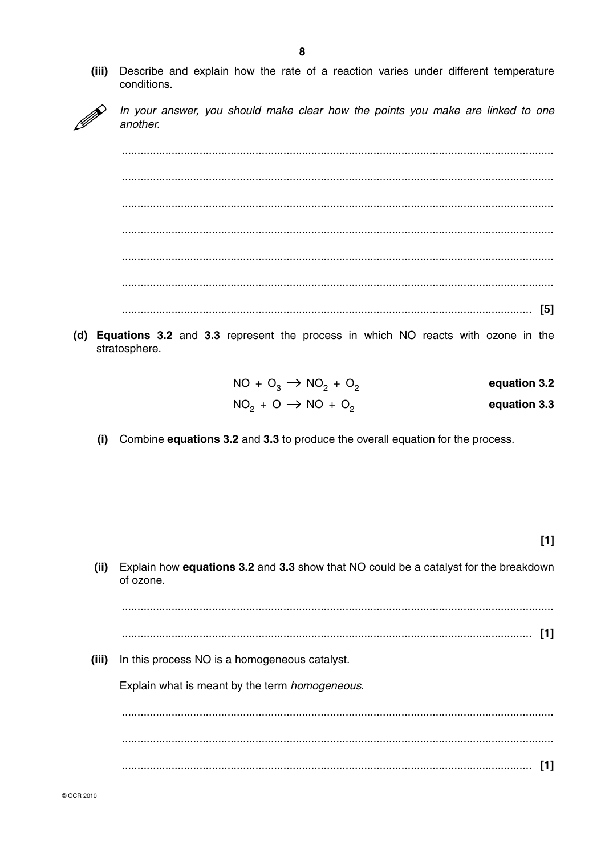$(iii)$ Describe and explain how the rate of a reaction varies under different temperature conditions.



In your answer, you should make clear how the points you make are linked to one another.

(d) Equations 3.2 and 3.3 represent the process in which NO reacts with ozone in the stratosphere.

| $NO + O_3 \rightarrow NO_2 + O_2$ | equation 3.2 |
|-----------------------------------|--------------|
| $NO2 + O \rightarrow NO + O2$     | equation 3.3 |

(i) Combine equations 3.2 and 3.3 to produce the overall equation for the process.

 $[1]$ 

Explain how equations 3.2 and 3.3 show that NO could be a catalyst for the breakdown  $(ii)$ of ozone. (iii) In this process NO is a homogeneous catalyst. Explain what is meant by the term homogeneous.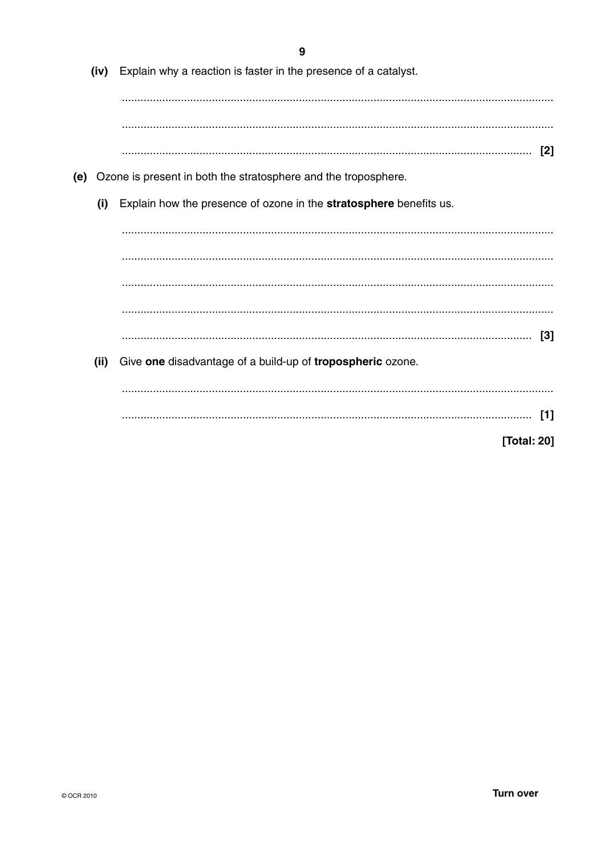|             | Explain why a reaction is faster in the presence of a catalyst.    | (iv) |     |
|-------------|--------------------------------------------------------------------|------|-----|
|             |                                                                    |      |     |
|             |                                                                    |      |     |
| $[2]$       |                                                                    |      |     |
|             | Ozone is present in both the stratosphere and the troposphere.     |      | (e) |
|             | Explain how the presence of ozone in the stratosphere benefits us. | (i)  |     |
|             |                                                                    |      |     |
|             |                                                                    |      |     |
|             |                                                                    |      |     |
|             |                                                                    |      |     |
| [3]         |                                                                    |      |     |
|             | Give one disadvantage of a build-up of tropospheric ozone.         | (ii) |     |
| $[1]$       |                                                                    |      |     |
| [Total: 20] |                                                                    |      |     |
|             |                                                                    |      |     |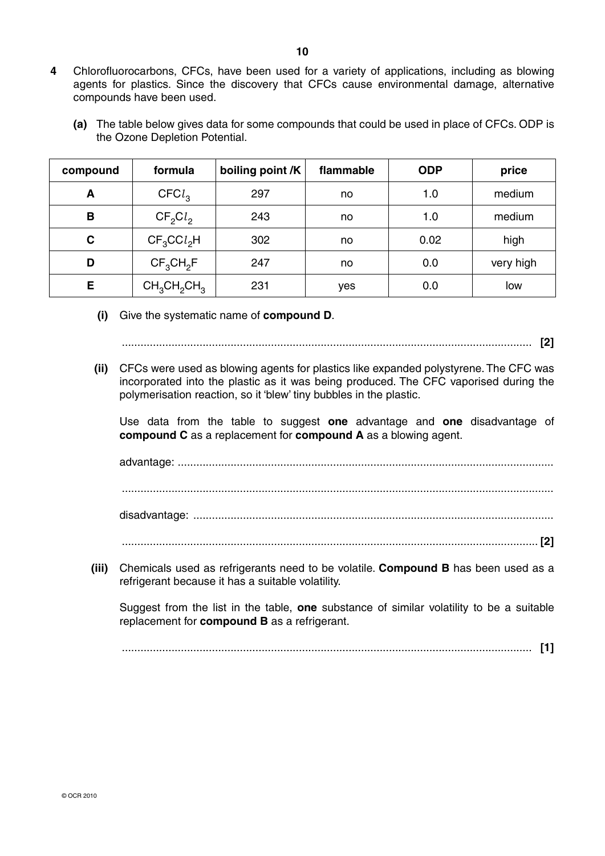- **4** Chlorofluorocarbons, CFCs, have been used for a variety of applications, including as blowing agents for plastics. Since the discovery that CFCs cause environmental damage, alternative compounds have been used.
	- **(a)** The table below gives data for some compounds that could be used in place of CFCs. ODP is the Ozone Depletion Potential.

| compound | formula           | boiling point /K | flammable | <b>ODP</b> | price     |
|----------|-------------------|------------------|-----------|------------|-----------|
| A        | CFCl <sub>3</sub> | 297              | no        | 1.0        | medium    |
| в        | $CF_2Cl_2$        | 243              | no        | 1.0        | medium    |
| C        | $CF_3CCl_2H$      | 302              | no        | 0.02       | high      |
| D        | $CF_3CH_2F$       | 247              | no        | 0.0        | very high |
| E        | $CH_3CH_2CH_3$    | 231              | yes       | 0.0        | low       |

 **(i)** Give the systematic name of **compound D**.

.................................................................................................................................... **[2]**

 **(ii)** CFCs were used as blowing agents for plastics like expanded polystyrene. The CFC was incorporated into the plastic as it was being produced. The CFC vaporised during the polymerisation reaction, so it 'blew' tiny bubbles in the plastic.

Use data from the table to suggest **one** advantage and **one** disadvantage of **compound C** as a replacement for **compound A** as a blowing agent.

advantage: ......................................................................................................................... ........................................................................................................................................... disadvantage: ....................................................................................................................

- ...................................................................................................................................... **[2]**
- **(iii)** Chemicals used as refrigerants need to be volatile. **Compound B** has been used as a refrigerant because it has a suitable volatility.

Suggest from the list in the table, **one** substance of similar volatility to be a suitable replacement for **compound B** as a refrigerant.

.................................................................................................................................... **[1]**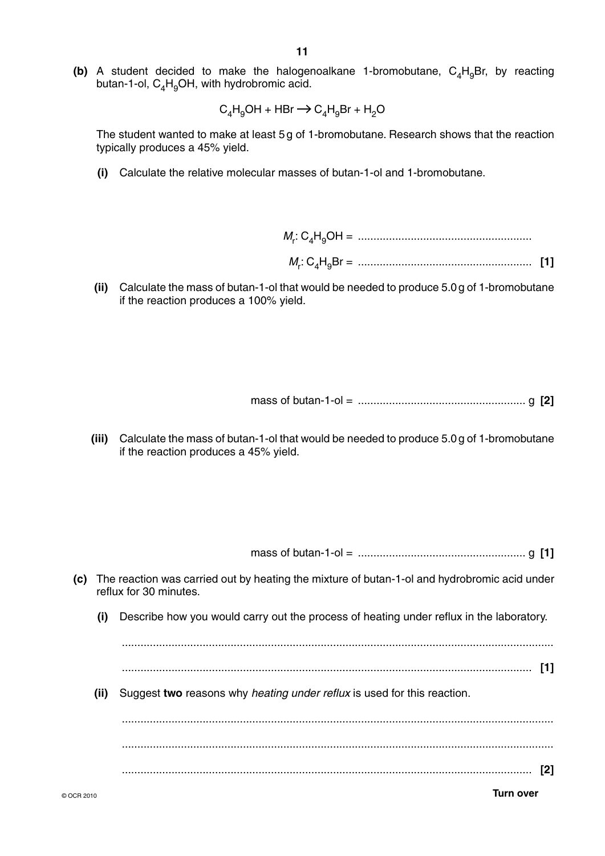**(b)** A student decided to make the halogenoalkane 1-bromobutane,  $C_4H_9Br$ , by reacting butan-1-ol,  $C_4H_9OH$ , with hydrobromic acid.

$$
C_4H_9OH + HBr \longrightarrow C_4H_9Br + H_2O
$$

The student wanted to make at least 5 g of 1-bromobutane. Research shows that the reaction typically produces a 45% yield.

 **(i)** Calculate the relative molecular masses of butan-1-ol and 1-bromobutane.

 $M_{\rm r}$ : C4H9OH = ........................................................  $M_{\rm r}$ : C4H9Br = ........................................................ **[1]**

 **(ii)** Calculate the mass of butan-1-ol that would be needed to produce 5.0 g of 1-bromobutane if the reaction produces a 100% yield.

mass of butan-1-ol = ...................................................... g **[2]**

 **(iii)** Calculate the mass of butan-1-ol that would be needed to produce 5.0 g of 1-bromobutane if the reaction produces a 45% yield.

mass of butan-1-ol = ...................................................... g **[1]**

| (c) |      | The reaction was carried out by heating the mixture of butan-1-ol and hydrobromic acid under<br>reflux for 30 minutes. |  |
|-----|------|------------------------------------------------------------------------------------------------------------------------|--|
|     | (i)  | Describe how you would carry out the process of heating under reflux in the laboratory.                                |  |
|     |      |                                                                                                                        |  |
|     | (ii) | Suggest two reasons why heating under reflux is used for this reaction.                                                |  |
|     |      |                                                                                                                        |  |
|     |      |                                                                                                                        |  |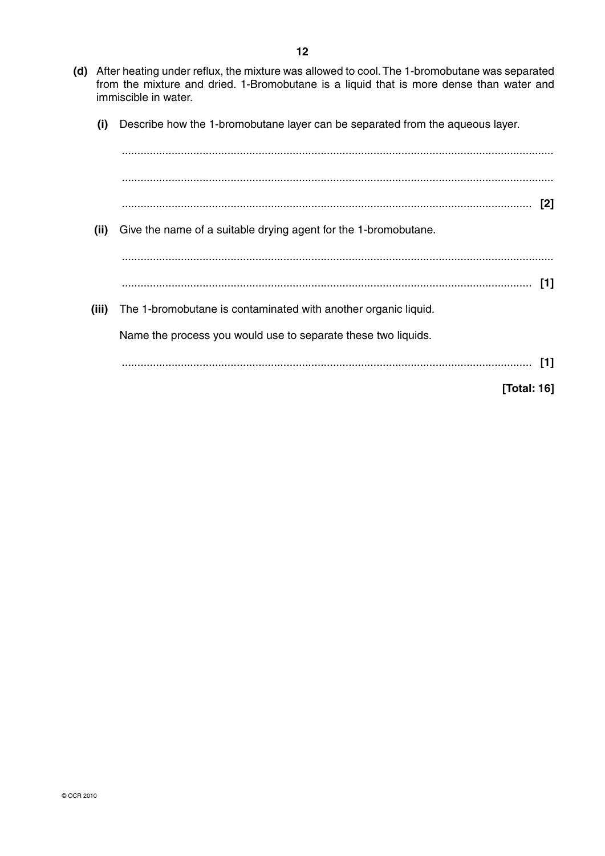- **(d)** After heating under reflux, the mixture was allowed to cool. The 1-bromobutane was separated from the mixture and dried. 1-Bromobutane is a liquid that is more dense than water and immiscible in water.
	- **(i)** Describe how the 1-bromobutane layer can be separated from the aqueous layer.

| (ii)  | Give the name of a suitable drying agent for the 1-bromobutane. |
|-------|-----------------------------------------------------------------|
|       |                                                                 |
|       | [1]                                                             |
| (iii) | The 1-bromobutane is contaminated with another organic liquid.  |
|       | Name the process you would use to separate these two liquids.   |
|       | [1]                                                             |
|       | [Total: 16]                                                     |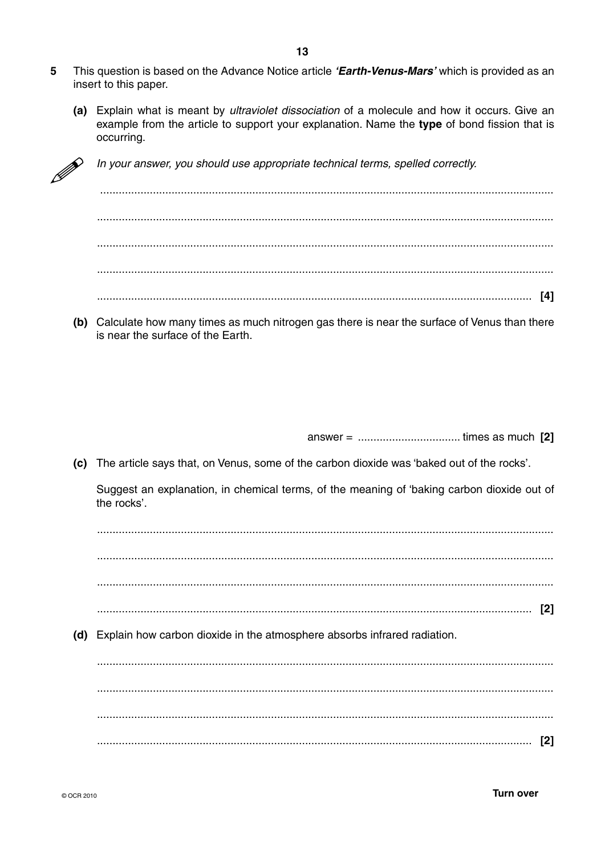- 5 This question is based on the Advance Notice article 'Earth-Venus-Mars' which is provided as an insert to this paper.
	- (a) Explain what is meant by *ultraviolet dissociation* of a molecule and how it occurs. Give an example from the article to support your explanation. Name the type of bond fission that is occurring.



In your answer, you should use appropriate technical terms, spelled correctly.

(b) Calculate how many times as much nitrogen gas there is near the surface of Venus than there is near the surface of the Earth.

(c) The article says that, on Venus, some of the carbon dioxide was 'baked out of the rocks'.

Suggest an explanation, in chemical terms, of the meaning of 'baking carbon dioxide out of the rocks'.

(d) Explain how carbon dioxide in the atmosphere absorbs infrared radiation.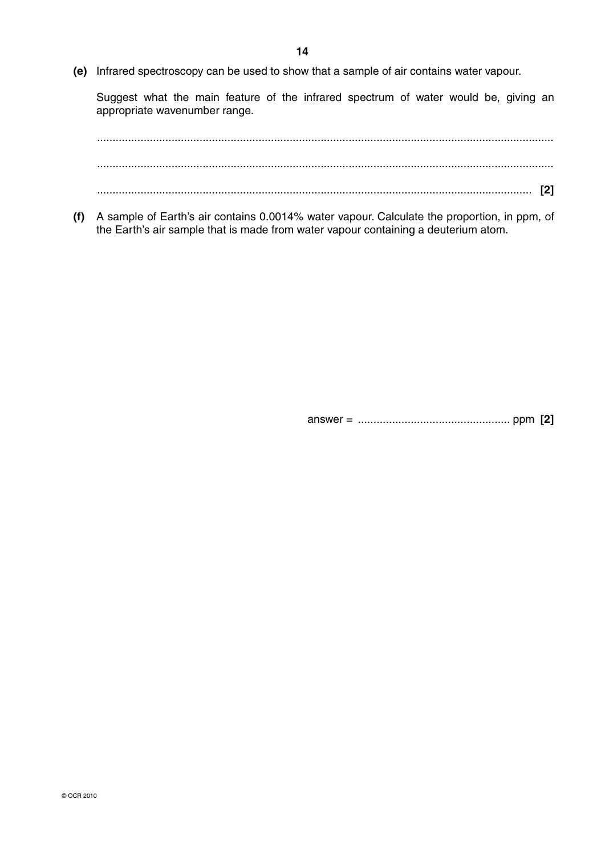**(e)** Infrared spectroscopy can be used to show that a sample of air contains water vapour.

Suggest what the main feature of the infrared spectrum of water would be, giving an appropriate wavenumber range.

 ................................................................................................................................................... ................................................................................................................................................... ............................................................................................................................................ **[2]**

 **(f)** A sample of Earth's air contains 0.0014% water vapour. Calculate the proportion, in ppm, of the Earth's air sample that is made from water vapour containing a deuterium atom.

answer = ................................................. ppm **[2]**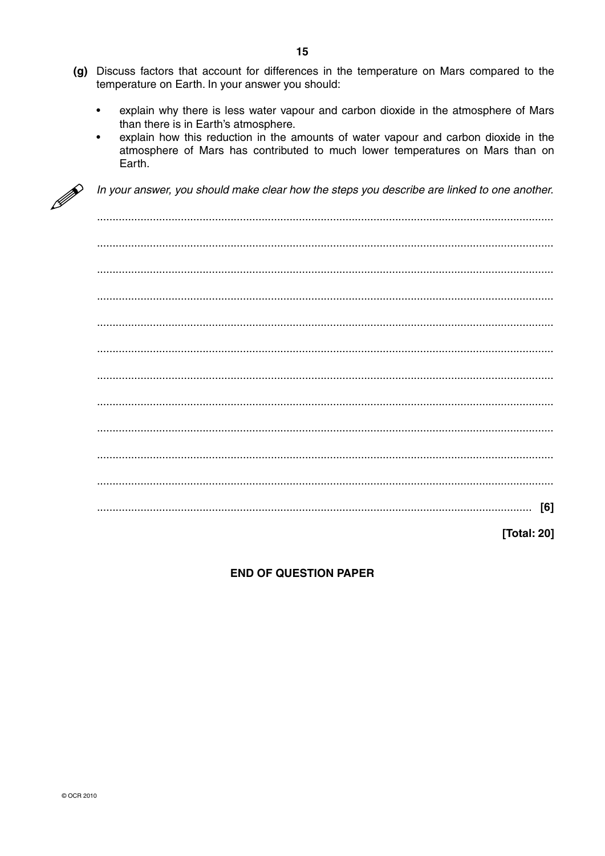- (g) Discuss factors that account for differences in the temperature on Mars compared to the temperature on Earth. In your answer you should:
	- $\bullet$ explain why there is less water vapour and carbon dioxide in the atmosphere of Mars than there is in Earth's atmosphere.
	- explain how this reduction in the amounts of water vapour and carbon dioxide in the  $\bullet$ atmosphere of Mars has contributed to much lower temperatures on Mars than on Earth.



In your answer, you should make clear how the steps you describe are linked to one another.

| $\begin{bmatrix} \begin{bmatrix} 0 & 0 & 0 & 0 \\ 0 & 0 & 0 & 0 \\ 0 & 0 & 0 & 0 \\ 0 & 0 & 0 & 0 \\ 0 & 0 & 0 & 0 \\ 0 & 0 & 0 & 0 & 0 \\ 0 & 0 & 0 & 0 & 0 \\ 0 & 0 & 0 & 0 & 0 \\ 0 & 0 & 0 & 0 & 0 \\ 0 & 0 & 0 & 0 & 0 \\ 0 & 0 & 0 & 0 & 0 \\ 0 & 0 & 0 & 0 & 0 \\ 0 & 0 & 0 & 0 & 0 & 0 \\ 0 & 0 & 0 & 0 & 0 & 0 \\ 0 & 0 & $                                                                                                              |
|---------------------------------------------------------------------------------------------------------------------------------------------------------------------------------------------------------------------------------------------------------------------------------------------------------------------------------------------------------------------------------------------------------------------------------------------------|
| $\begin{minipage}{0.5\textwidth} \begin{tabular}{ l l l } \hline \multicolumn{1}{ l l l } \hline \multicolumn{1}{ l l } \hline \multicolumn{1}{ l l } \hline \multicolumn{1}{ l } \hline \multicolumn{1}{ l } \hline \multicolumn{1}{ l } \hline \multicolumn{1}{ l } \hline \multicolumn{1}{ l } \hline \multicolumn{1}{ l } \hline \multicolumn{1}{ l } \hline \multicolumn{1}{ l } \hline \multicolumn{1}{ l } \hline \multicolumn{1}{ l } \h$ |
| $\begin{minipage}{0.5\textwidth} \begin{tabular}{ l l l } \hline \multicolumn{1}{ l l l } \hline \multicolumn{1}{ l l } \hline \multicolumn{1}{ l l } \hline \multicolumn{1}{ l } \hline \multicolumn{1}{ l } \hline \multicolumn{1}{ l } \hline \multicolumn{1}{ l } \hline \multicolumn{1}{ l } \hline \multicolumn{1}{ l } \hline \multicolumn{1}{ l } \hline \multicolumn{1}{ l } \hline \multicolumn{1}{ l } \hline \multicolumn{1}{ l } \h$ |
| $[6]$                                                                                                                                                                                                                                                                                                                                                                                                                                             |
| [Total: 20]                                                                                                                                                                                                                                                                                                                                                                                                                                       |

## **END OF QUESTION PAPER**